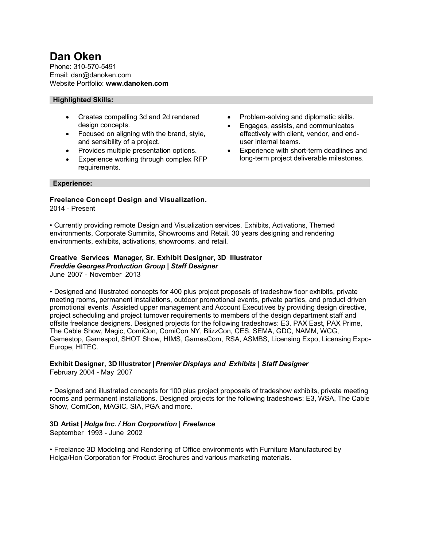# **Dan Oken**

Phone: 310-570-5491 Email: dan@danoken.com Website Portfolio: **[www.danoken.com](http://www.danoken.com/)**

### **Highlighted Skills:**

- Creates compelling 3d and 2d rendered design concepts.
- Focused on aligning with the brand, style, and sensibility of a project.
- Provides multiple presentation options.
- Experience working through complex RFP requirements.
- Problem-solving and diplomatic skills.
- Engages, assists, and communicates effectively with client, vendor, and enduser internal teams.
- Experience with short-term deadlines and long-term project deliverable milestones.

### **Experience:**

## **Freelance Concept Design and Visualization.**

2014 - Present

• Currently providing remote Design and Visualization services. Exhibits, Activations, Themed environments, Corporate Summits, Showrooms and Retail. 30 years designing and rendering environments, exhibits, activations, showrooms, and retail.

## **Creative Services Manager, Sr. Exhibit Designer, 3D Illustrator** *Freddie GeorgesProduction Group | Staff Designer*

June 2007 - November 2013

• Designed and Illustrated concepts for 400 plus project proposals of tradeshow floor exhibits, private meeting rooms, permanent installations, outdoor promotional events, private parties, and product driven promotional events. Assisted upper management and Account Executives by providing design directive, project scheduling and project turnover requirements to members of the design department staff and offsite freelance designers. Designed projects for the following tradeshows: E3, PAX East, PAX Prime, The Cable Show, Magic, ComiCon, ComiCon NY, BlizzCon, CES, SEMA, GDC, NAMM, WCG, Gamestop, Gamespot, SHOT Show, HIMS, GamesCom, RSA, ASMBS, Licensing Expo, Licensing Expo-Europe, HITEC.

### **Exhibit Designer, 3D Illustrator |***Premier Displays and Exhibits | Staff Designer* February 2004 - May 2007

• Designed and illustrated concepts for 100 plus project proposals of tradeshow exhibits, private meeting rooms and permanent installations. Designed projects for the following tradeshows: E3, WSA, The Cable Show, ComiCon, MAGIC, SIA, PGA and more.

## **3D Artist |** *Holga Inc. / Hon Corporation | Freelance*

September 1993 - June 2002

• Freelance 3D Modeling and Rendering of Office environments with Furniture Manufactured by Holga/Hon Corporation for Product Brochures and various marketing materials.